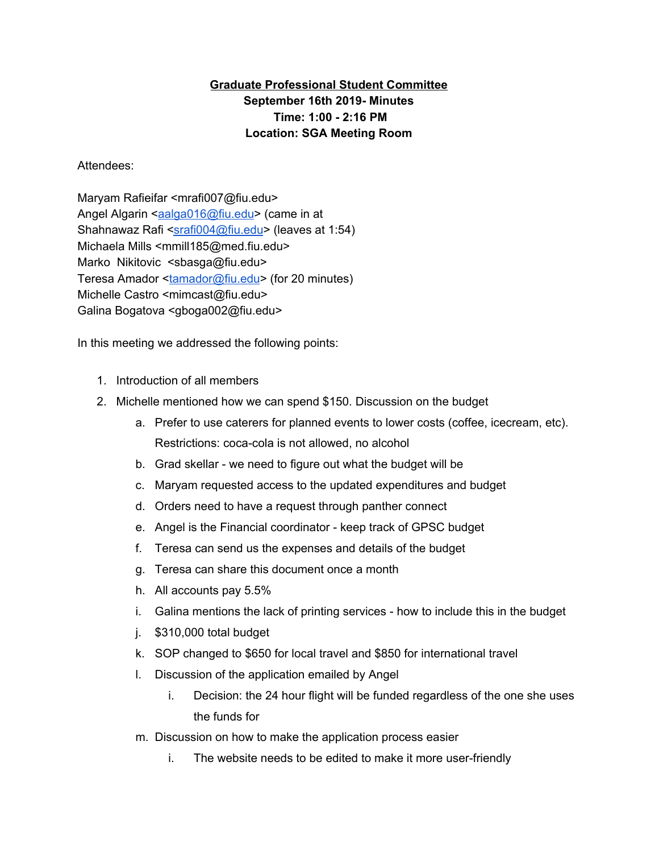## **Graduate Professional Student Committee September 16th 2019- Minutes Time: 1:00 - 2:16 PM Location: SGA Meeting Room**

## Attendees:

Maryam Rafieifar <mrafi007@fiu.edu> Angel Algarin <[aalga016@fiu.edu](mailto:aalga016@fiu.edu)> (came in at Shahnawaz Rafi [<srafi004@fiu.edu](mailto:srafi004@fiu.edu)> (leaves at 1:54) Michaela Mills <mmill185@med.fiu.edu> Marko Nikitovic <sbasga@fiu.edu> Teresa Amador <[tamador@fiu.edu>](mailto:tamador@fiu.edu) (for 20 minutes) Michelle Castro <mimcast@fiu.edu> Galina Bogatova <gboga002@fiu.edu>

In this meeting we addressed the following points:

- 1. Introduction of all members
- 2. Michelle mentioned how we can spend \$150. Discussion on the budget
	- a. Prefer to use caterers for planned events to lower costs (coffee, icecream, etc). Restrictions: coca-cola is not allowed, no alcohol
	- b. Grad skellar we need to figure out what the budget will be
	- c. Maryam requested access to the updated expenditures and budget
	- d. Orders need to have a request through panther connect
	- e. Angel is the Financial coordinator keep track of GPSC budget
	- f. Teresa can send us the expenses and details of the budget
	- g. Teresa can share this document once a month
	- h. All accounts pay 5.5%
	- i. Galina mentions the lack of printing services how to include this in the budget
	- j. \$310,000 total budget
	- k. SOP changed to \$650 for local travel and \$850 for international travel
	- l. Discussion of the application emailed by Angel
		- i. Decision: the 24 hour flight will be funded regardless of the one she uses the funds for
	- m. Discussion on how to make the application process easier
		- i. The website needs to be edited to make it more user-friendly